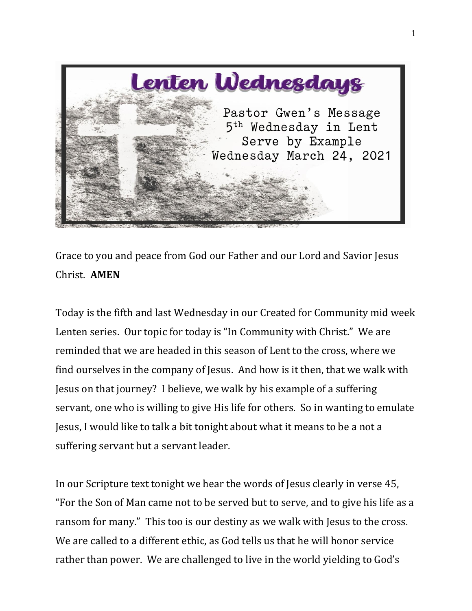

Grace to you and peace from God our Father and our Lord and Savior Jesus Christ. **AMEN**

Today is the fifth and last Wednesday in our Created for Community mid week Lenten series. Our topic for today is "In Community with Christ." We are reminded that we are headed in this season of Lent to the cross, where we find ourselves in the company of Jesus. And how is it then, that we walk with Jesus on that journey? I believe, we walk by his example of a suffering servant, one who is willing to give His life for others. So in wanting to emulate Jesus, I would like to talk a bit tonight about what it means to be a not a suffering servant but a servant leader.

In our Scripture text tonight we hear the words of Jesus clearly in verse 45, "For the Son of Man came not to be served but to serve, and to give his life as a ransom for many." This too is our destiny as we walk with Jesus to the cross. We are called to a different ethic, as God tells us that he will honor service rather than power. We are challenged to live in the world yielding to God's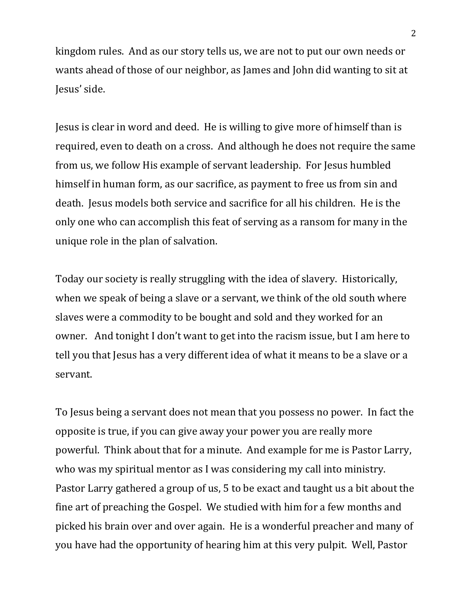kingdom rules. And as our story tells us, we are not to put our own needs or wants ahead of those of our neighbor, as James and John did wanting to sit at Jesus' side.

Jesus is clear in word and deed. He is willing to give more of himself than is required, even to death on a cross. And although he does not require the same from us, we follow His example of servant leadership. For Jesus humbled himself in human form, as our sacrifice, as payment to free us from sin and death. Jesus models both service and sacrifice for all his children. He is the only one who can accomplish this feat of serving as a ransom for many in the unique role in the plan of salvation.

Today our society is really struggling with the idea of slavery. Historically, when we speak of being a slave or a servant, we think of the old south where slaves were a commodity to be bought and sold and they worked for an owner. And tonight I don't want to get into the racism issue, but I am here to tell you that Jesus has a very different idea of what it means to be a slave or a servant.

To Jesus being a servant does not mean that you possess no power. In fact the opposite is true, if you can give away your power you are really more powerful. Think about that for a minute. And example for me is Pastor Larry, who was my spiritual mentor as I was considering my call into ministry. Pastor Larry gathered a group of us, 5 to be exact and taught us a bit about the fine art of preaching the Gospel. We studied with him for a few months and picked his brain over and over again. He is a wonderful preacher and many of you have had the opportunity of hearing him at this very pulpit. Well, Pastor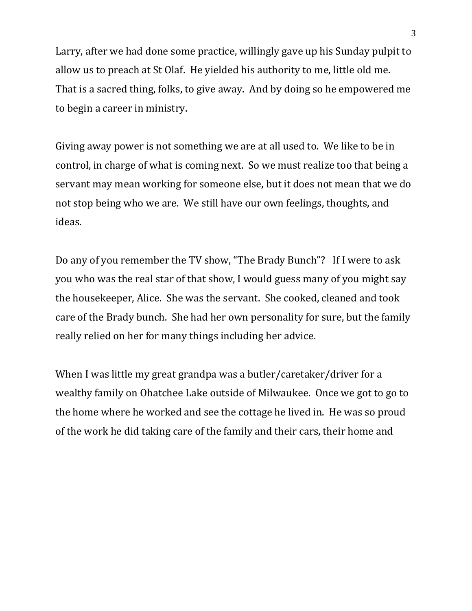Larry, after we had done some practice, willingly gave up his Sunday pulpit to allow us to preach at St Olaf. He yielded his authority to me, little old me. That is a sacred thing, folks, to give away. And by doing so he empowered me to begin a career in ministry.

Giving away power is not something we are at all used to. We like to be in control, in charge of what is coming next. So we must realize too that being a servant may mean working for someone else, but it does not mean that we do not stop being who we are. We still have our own feelings, thoughts, and ideas.

Do any of you remember the TV show, "The Brady Bunch"? If I were to ask you who was the real star of that show, I would guess many of you might say the housekeeper, Alice. She was the servant. She cooked, cleaned and took care of the Brady bunch. She had her own personality for sure, but the family really relied on her for many things including her advice.

When I was little my great grandpa was a butler/caretaker/driver for a wealthy family on Ohatchee Lake outside of Milwaukee. Once we got to go to the home where he worked and see the cottage he lived in. He was so proud of the work he did taking care of the family and their cars, their home and